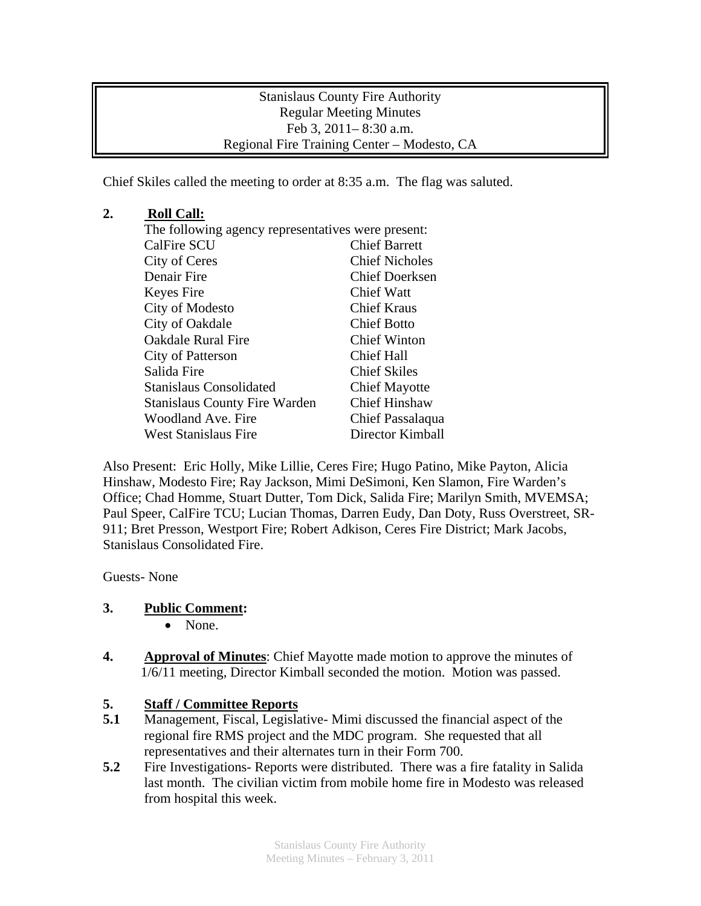Stanislaus County Fire Authority Regular Meeting Minutes Feb 3, 2011– 8:30 a.m. Regional Fire Training Center – Modesto, CA

Chief Skiles called the meeting to order at 8:35 a.m. The flag was saluted.

## **2. Roll Call:**

| The following agency representatives were present: |                       |
|----------------------------------------------------|-----------------------|
| <b>CalFire SCU</b>                                 | <b>Chief Barrett</b>  |
| City of Ceres                                      | <b>Chief Nicholes</b> |
| Denair Fire                                        | <b>Chief Doerksen</b> |
| Keyes Fire                                         | Chief Watt            |
| City of Modesto                                    | <b>Chief Kraus</b>    |
| City of Oakdale                                    | <b>Chief Botto</b>    |
| <b>Oakdale Rural Fire</b>                          | <b>Chief Winton</b>   |
| City of Patterson                                  | Chief Hall            |
| Salida Fire                                        | <b>Chief Skiles</b>   |
| <b>Stanislaus Consolidated</b>                     | <b>Chief Mayotte</b>  |
| <b>Stanislaus County Fire Warden</b>               | <b>Chief Hinshaw</b>  |
| Woodland Ave. Fire                                 | Chief Passalaqua      |
| <b>West Stanislaus Fire</b>                        | Director Kimball      |

Also Present: Eric Holly, Mike Lillie, Ceres Fire; Hugo Patino, Mike Payton, Alicia Hinshaw, Modesto Fire; Ray Jackson, Mimi DeSimoni, Ken Slamon, Fire Warden's Office; Chad Homme, Stuart Dutter, Tom Dick, Salida Fire; Marilyn Smith, MVEMSA; Paul Speer, CalFire TCU; Lucian Thomas, Darren Eudy, Dan Doty, Russ Overstreet, SR-911; Bret Presson, Westport Fire; Robert Adkison, Ceres Fire District; Mark Jacobs, Stanislaus Consolidated Fire.

Guests- None

## **3. Public Comment:**

- None.
- **4. Approval of Minutes**: Chief Mayotte made motion to approve the minutes of 1/6/11 meeting, Director Kimball seconded the motion. Motion was passed.

## **5. Staff / Committee Reports**

- **5.1** Management, Fiscal, Legislative- Mimi discussed the financial aspect of the regional fire RMS project and the MDC program. She requested that all representatives and their alternates turn in their Form 700.
- **5.2** Fire Investigations- Reports were distributed. There was a fire fatality in Salida last month. The civilian victim from mobile home fire in Modesto was released from hospital this week.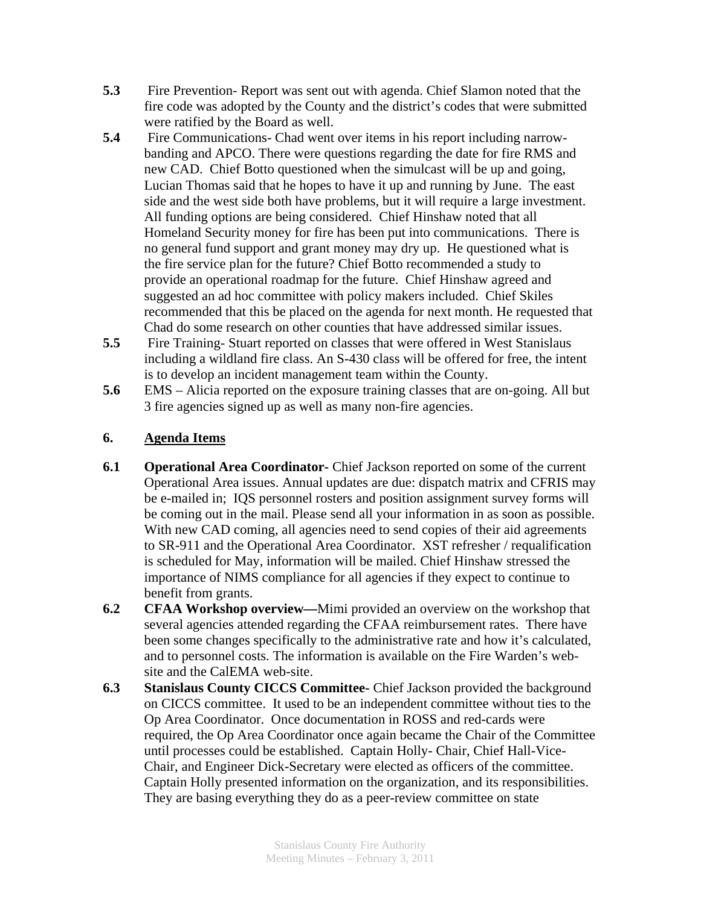- **5.3** Fire Prevention- Report was sent out with agenda. Chief Slamon noted that the fire code was adopted by the County and the district's codes that were submitted were ratified by the Board as well.
- **5.4** Fire Communications- Chad went over items in his report including narrow banding and APCO. There were questions regarding the date for fire RMS and new CAD. Chief Botto questioned when the simulcast will be up and going, Lucian Thomas said that he hopes to have it up and running by June. The east side and the west side both have problems, but it will require a large investment. All funding options are being considered. Chief Hinshaw noted that all Homeland Security money for fire has been put into communications. There is no general fund support and grant money may dry up. He questioned what is the fire service plan for the future? Chief Botto recommended a study to provide an operational roadmap for the future. Chief Hinshaw agreed and suggested an ad hoc committee with policy makers included. Chief Skiles recommended that this be placed on the agenda for next month. He requested that Chad do some research on other counties that have addressed similar issues.
- **5.5** Fire Training- Stuart reported on classes that were offered in West Stanislaus including a wildland fire class. An S-430 class will be offered for free, the intent is to develop an incident management team within the County.
- **5.6** EMS Alicia reported on the exposure training classes that are on-going. All but 3 fire agencies signed up as well as many non-fire agencies.

## **6. Agenda Items**

- **6.1 Operational Area Coordinator-** Chief Jackson reported on some of the current Operational Area issues. Annual updates are due: dispatch matrix and CFRIS may be e-mailed in; IQS personnel rosters and position assignment survey forms will be coming out in the mail. Please send all your information in as soon as possible. With new CAD coming, all agencies need to send copies of their aid agreements to SR-911 and the Operational Area Coordinator. XST refresher / requalification is scheduled for May, information will be mailed. Chief Hinshaw stressed the importance of NIMS compliance for all agencies if they expect to continue to benefit from grants.
- **6.2 CFAA Workshop overview—**Mimi provided an overview on the workshop that several agencies attended regarding the CFAA reimbursement rates. There have been some changes specifically to the administrative rate and how it's calculated, and to personnel costs. The information is available on the Fire Warden's website and the CalEMA web-site.
- **6.3 Stanislaus County CICCS Committee-** Chief Jackson provided the background on CICCS committee. It used to be an independent committee without ties to the Op Area Coordinator. Once documentation in ROSS and red-cards were required, the Op Area Coordinator once again became the Chair of the Committee until processes could be established. Captain Holly- Chair, Chief Hall-Vice-Chair, and Engineer Dick-Secretary were elected as officers of the committee. Captain Holly presented information on the organization, and its responsibilities. They are basing everything they do as a peer-review committee on state